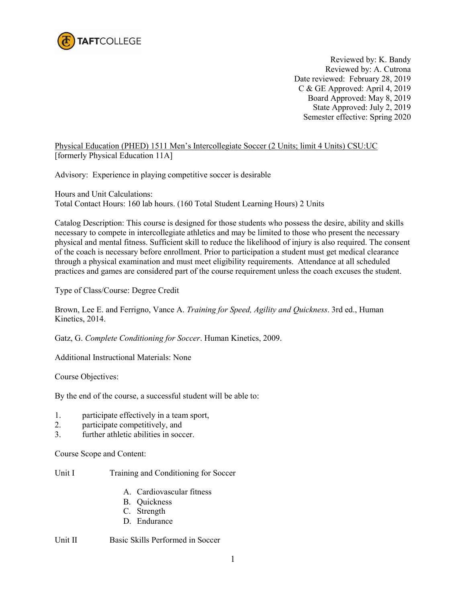

Reviewed by: K. Bandy Reviewed by: A. Cutrona Date reviewed: February 28, 2019 C & GE Approved: April 4, 2019 Board Approved: May 8, 2019 State Approved: July 2, 2019 Semester effective: Spring 2020

Physical Education (PHED) 1511 Men's Intercollegiate Soccer (2 Units; limit 4 Units) CSU:UC [formerly Physical Education 11A]

Advisory: Experience in playing competitive soccer is desirable

Hours and Unit Calculations: Total Contact Hours: 160 lab hours. (160 Total Student Learning Hours) 2 Units

Catalog Description: This course is designed for those students who possess the desire, ability and skills necessary to compete in intercollegiate athletics and may be limited to those who present the necessary physical and mental fitness. Sufficient skill to reduce the likelihood of injury is also required. The consent of the coach is necessary before enrollment. Prior to participation a student must get medical clearance through a physical examination and must meet eligibility requirements. Attendance at all scheduled practices and games are considered part of the course requirement unless the coach excuses the student.

Type of Class/Course: Degree Credit

Brown, Lee E. and Ferrigno, Vance A. *Training for Speed, Agility and Quickness*. 3rd ed., Human Kinetics, 2014.

Gatz, G. *Complete Conditioning for Soccer*. Human Kinetics, 2009.

Additional Instructional Materials: None

Course Objectives:

By the end of the course, a successful student will be able to:

- 1. participate effectively in a team sport,
- 2. participate competitively, and
- 3. further athletic abilities in soccer.

Course Scope and Content:

Unit I Training and Conditioning for Soccer

- A. Cardiovascular fitness
- B. Quickness
- C. Strength
- D. Endurance

Unit II Basic Skills Performed in Soccer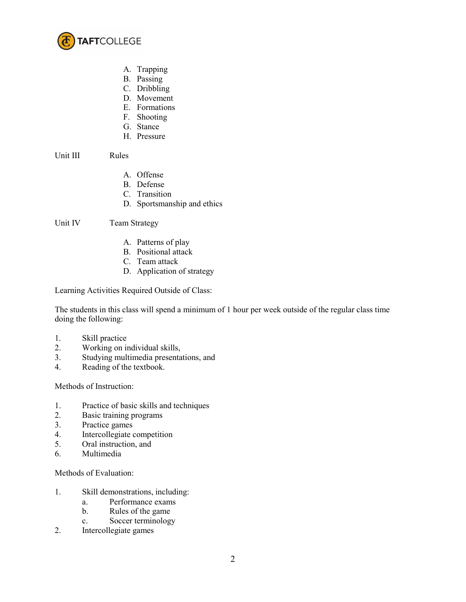

- A. Trapping
- B. Passing
- C. Dribbling
- D. Movement
- E. Formations
- F. Shooting
- G. Stance
- H. Pressure

Unit III Rules

- A. Offense
- B. Defense
- C. Transition
- D. Sportsmanship and ethics

Unit IV Team Strategy

- A. Patterns of play
- B. Positional attack
- C. Team attack
- D. Application of strategy

Learning Activities Required Outside of Class:

The students in this class will spend a minimum of 1 hour per week outside of the regular class time doing the following:

- 1. Skill practice
- 2. Working on individual skills,
- 3. Studying multimedia presentations, and
- 4. Reading of the textbook.

Methods of Instruction:

- 1. Practice of basic skills and techniques
- 2. Basic training programs
- 3. Practice games
- 4. Intercollegiate competition
- 5. Oral instruction, and
- 6. Multimedia

Methods of Evaluation:

- 1. Skill demonstrations, including:
	- a. Performance exams
	- b. Rules of the game
	- c. Soccer terminology
- 2. Intercollegiate games